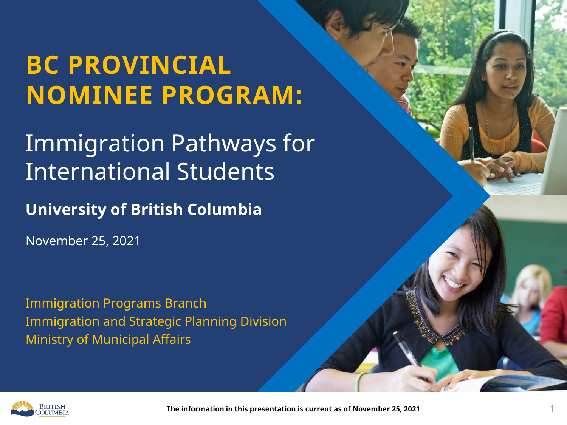#### Immigration Pathways for International Students

**University of British Columbia**

November 25, 2021

Immigration Programs Branch Immigration and Strategic Planning Division Ministry of Municipal Affairs



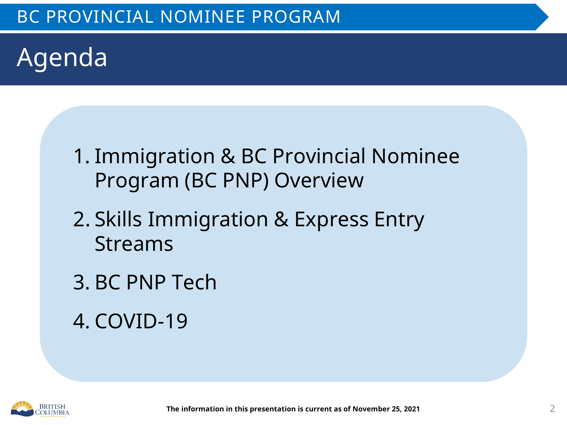### Agenda

- 1. Immigration & BC Provincial Nominee Program (BC PNP) Overview
- 2. Skills Immigration & Express Entry Streams
- 3. BC PNP Tech
- 4. COVID-19

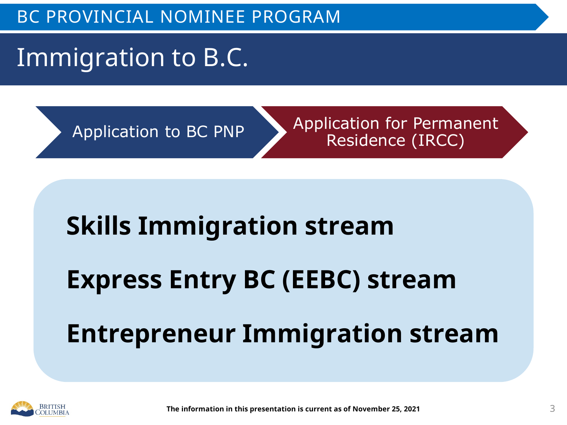### Immigration to B.C.

Application to BC PNP Application for Permanent Residence (IRCC)

# **Skills Immigration stream Express Entry BC (EEBC) stream Entrepreneur Immigration stream**

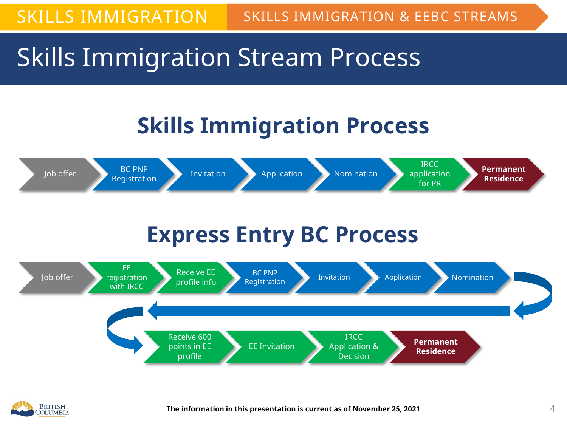#### Skills Immigration Stream Process

#### **Skills Immigration Process**



#### **Express Entry BC Process**



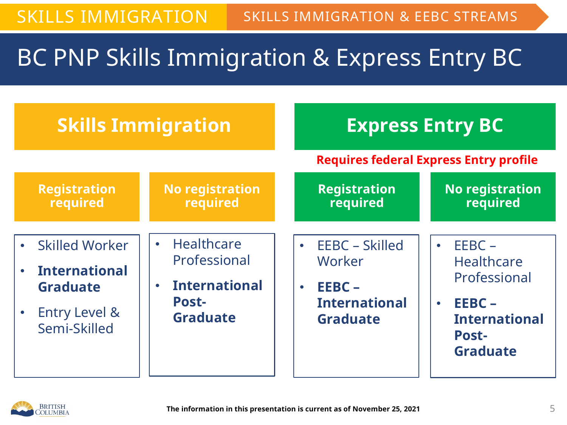#### BC PNP Skills Immigration & Express Entry BC

| <b>Skills Immigration</b>                                                                                                                           |                                                                                                                 |                                                                                                           | <b>Express Entry BC</b>                                                                                                        |
|-----------------------------------------------------------------------------------------------------------------------------------------------------|-----------------------------------------------------------------------------------------------------------------|-----------------------------------------------------------------------------------------------------------|--------------------------------------------------------------------------------------------------------------------------------|
|                                                                                                                                                     |                                                                                                                 |                                                                                                           | <b>Requires federal Express Entry profile</b>                                                                                  |
| <b>Registration</b><br>required                                                                                                                     | <b>No registration</b><br>required                                                                              | <b>Registration</b><br>required                                                                           | <b>No registration</b><br>required                                                                                             |
| <b>Skilled Worker</b><br>$\bullet$<br><b>International</b><br>$\bullet$<br><b>Graduate</b><br><b>Entry Level &amp;</b><br>$\bullet$<br>Semi-Skilled | Healthcare<br>$\bullet$<br>Professional<br><b>International</b><br>$\bullet$<br><b>Post-</b><br><b>Graduate</b> | EEBC - Skilled<br>$\bullet$<br>Worker<br>$EEEC -$<br>$\bullet$<br><b>International</b><br><b>Graduate</b> | $EEBC -$<br><b>Healthcare</b><br>Professional<br>EEBC-<br>$\bullet$<br><b>International</b><br><b>Post-</b><br><b>Graduate</b> |

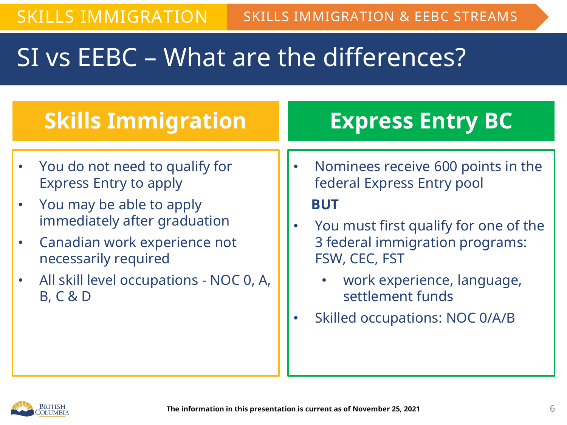#### SI vs EEBC – What are the differences?

| <b>Skills Immigration</b> |                                                                                      | <b>Express Entry BC</b> |                                                                  |
|---------------------------|--------------------------------------------------------------------------------------|-------------------------|------------------------------------------------------------------|
|                           |                                                                                      |                         |                                                                  |
|                           | • You do not need to qualify for<br><b>Express Entry to apply</b>                    |                         | Nominees receive 600 points in the<br>federal Express Entry pool |
|                           | You may be able to apply                                                             |                         | <b>BUT</b>                                                       |
|                           | immediately after graduation<br>Canadian work experience not<br>necessarily required |                         | You must first qualify for one of the                            |
|                           |                                                                                      |                         | 3 federal immigration programs:<br>FSW, CEC, FST                 |
|                           | All skill level occupations - NOC 0, A,<br><b>B, C &amp; D</b>                       |                         | work experience, language,<br>settlement funds                   |
|                           |                                                                                      |                         | <b>Skilled occupations: NOC 0/A/B</b>                            |
|                           |                                                                                      |                         |                                                                  |

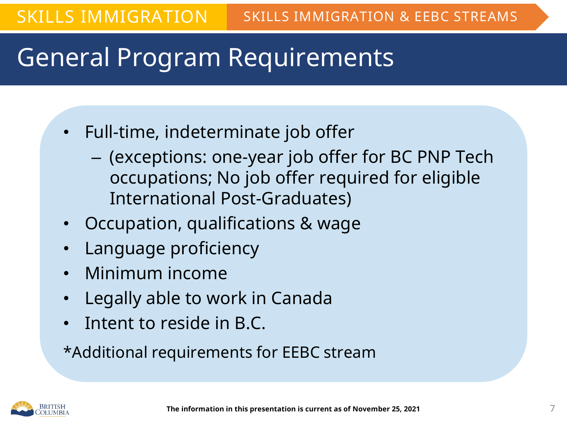### General Program Requirements

- Full-time, indeterminate job offer
	- (exceptions: one-year job offer for BC PNP Tech occupations; No job offer required for eligible International Post-Graduates)
- Occupation, qualifications & wage
- Language proficiency
- Minimum income
- Legally able to work in Canada
- Intent to reside in B.C.

\*Additional requirements for EEBC stream

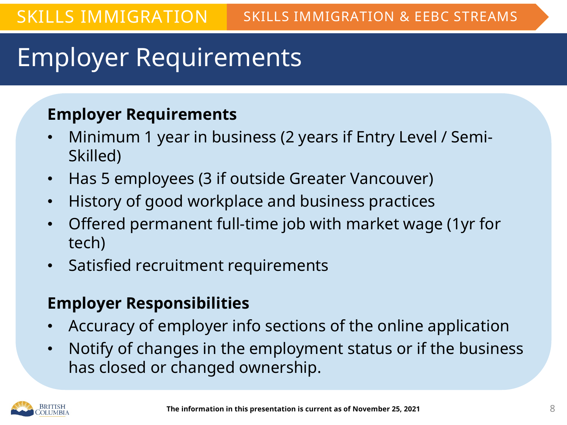### Employer Requirements

#### **Employer Requirements**

- Minimum 1 year in business (2 years if Entry Level / Semi-Skilled)
- Has 5 employees (3 if outside Greater Vancouver)
- History of good workplace and business practices
- Offered permanent full-time job with market wage (1yr for tech)
- Satisfied recruitment requirements

#### **Employer Responsibilities**

- Accuracy of employer info sections of the online application
- Notify of changes in the employment status or if the business has closed or changed ownership.

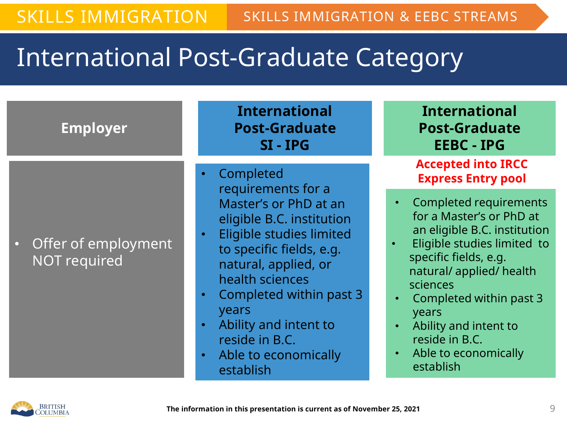### International Post-Graduate Category

| <b>Employer</b>                              | <b>International</b><br><b>Post-Graduate</b><br>SI-IPG                                                                                                                                                                                                                                          | <b>International</b><br><b>Post-Graduate</b><br><b>EEBC - IPG</b>                                                                                                                                                                                                                                             |
|----------------------------------------------|-------------------------------------------------------------------------------------------------------------------------------------------------------------------------------------------------------------------------------------------------------------------------------------------------|---------------------------------------------------------------------------------------------------------------------------------------------------------------------------------------------------------------------------------------------------------------------------------------------------------------|
|                                              | Completed                                                                                                                                                                                                                                                                                       | <b>Accepted into IRCC</b><br><b>Express Entry pool</b>                                                                                                                                                                                                                                                        |
| • Offer of employment<br><b>NOT required</b> | requirements for a<br>Master's or PhD at an<br>eligible B.C. institution<br>Eligible studies limited<br>to specific fields, e.g.<br>natural, applied, or<br>health sciences<br>Completed within past 3<br>years<br>Ability and intent to<br>reside in B.C.<br>Able to economically<br>establish | <b>Completed requirements</b><br>for a Master's or PhD at<br>an eligible B.C. institution<br>Eligible studies limited to<br>specific fields, e.g.<br>natural/ applied/ health<br>sciences<br>Completed within past 3<br>years<br>Ability and intent to<br>reside in B.C.<br>Able to economically<br>establish |

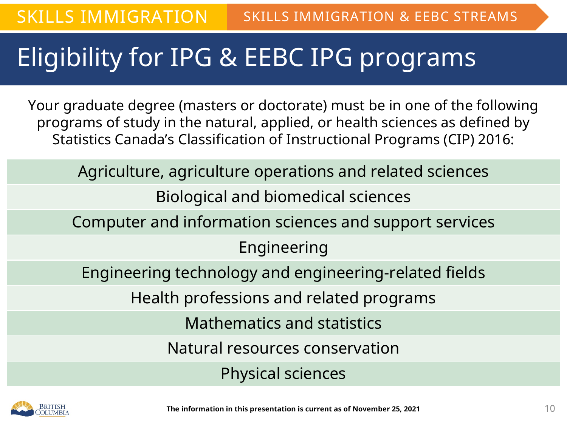### Eligibility for IPG & EEBC IPG programs

Your graduate degree (masters or doctorate) must be in one of the following programs of study in the natural, applied, or health sciences as defined by Statistics Canada's Classification of Instructional Programs (CIP) 2016:

Agriculture, agriculture operations and related sciences

Biological and biomedical sciences

Computer and information sciences and support services

Engineering

Engineering technology and engineering-related fields

Health professions and related programs

Mathematics and statistics

Natural resources conservation

Physical sciences

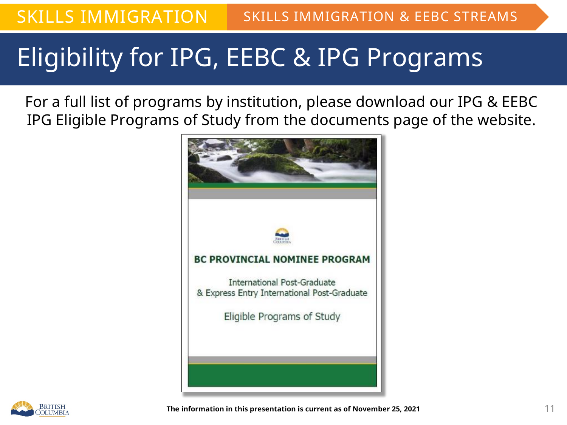### Eligibility for IPG, EEBC & IPG Programs

For a full list of programs by institution, please download our IPG & EEBC IPG Eligible Programs of Study from the documents page of the website.



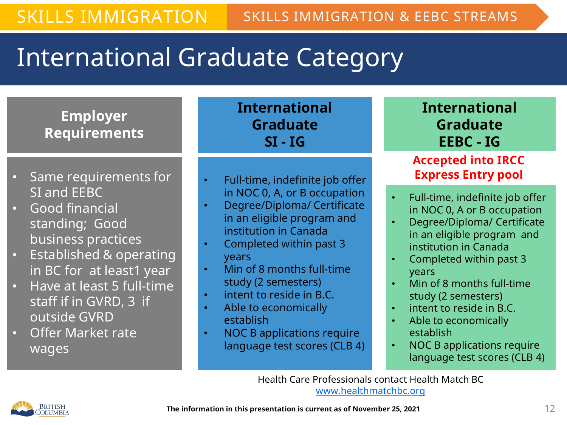### International Graduate Category

**Employer Requirements**

- Same requirements for SI and EEBC
- Good financial standing; Good business practices
- Established & operating in BC for at least1 year
- Have at least 5 full-time staff if in GVRD, 3 if outside GVRD
- Offer Market rate wages

**International Graduate SI - IG**

- Full-time, indefinite job offer in NOC 0, A, or B occupation
- Degree/Diploma/ Certificate in an eligible program and institution in Canada
- Completed within past 3 years
- Min of 8 months full-time study (2 semesters)
- intent to reside in B.C.
- Able to economically establish
- NOC B applications require language test scores (CLB 4)

#### **International Graduate EEBC - IG**

#### **Accepted into IRCC Express Entry pool**

- Full-time, indefinite job offer in NOC 0, A or B occupation
- Degree/Diploma/ Certificate in an eligible program and institution in Canada
- Completed within past 3 years
- Min of 8 months full-time study (2 semesters)
- intent to reside in B.C.
- Able to economically establish
- NOC B applications require language test scores (CLB 4)

Health Care Professionals contact Health Match BC [www.healthmatchbc.org](http://www.healthmatchbc.org/)

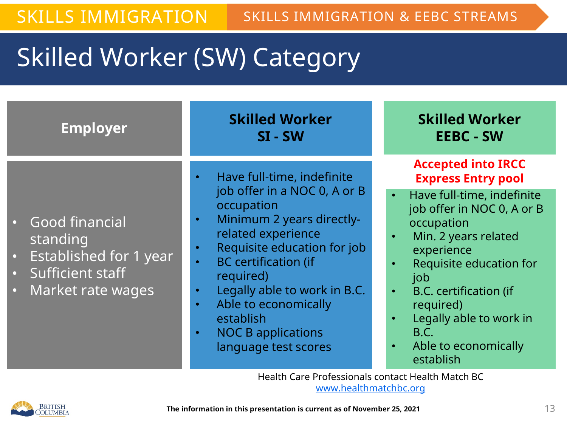### Skilled Worker (SW) Category

| <b>Employer</b>                                                                                                                           | <b>Skilled Worker</b><br>$SI - SW$                                                                                                                                                                                                                                                                                                                                                     | <b>Skilled Worker</b><br><b>EEBC - SW</b>                                                                                                                                                                                                                                                                                        |
|-------------------------------------------------------------------------------------------------------------------------------------------|----------------------------------------------------------------------------------------------------------------------------------------------------------------------------------------------------------------------------------------------------------------------------------------------------------------------------------------------------------------------------------------|----------------------------------------------------------------------------------------------------------------------------------------------------------------------------------------------------------------------------------------------------------------------------------------------------------------------------------|
| · Good financial<br>standing<br><b>Established for 1 year</b><br>$\bullet$<br>• Sufficient staff<br><b>Market rate wages</b><br>$\bullet$ | Have full-time, indefinite<br>job offer in a NOC 0, A or B<br>occupation<br>Minimum 2 years directly-<br>$\bullet$<br>related experience<br>Requisite education for job<br>$\bullet$<br><b>BC</b> certification (if<br>$\bullet$<br>required)<br>Legally able to work in B.C.<br>$\bullet$<br>Able to economically<br>$\bullet$<br>establish<br><b>NOC B applications</b><br>$\bullet$ | <b>Accepted into IRCC</b><br><b>Express Entry pool</b><br>Have full-time, indefinite<br>$\bullet$<br>job offer in NOC 0, A or B<br>occupation<br>Min. 2 years related<br>$\bullet$<br>experience<br>Requisite education for<br>job<br><b>B.C. certification (if</b><br>required)<br>Legally able to work in<br>$\bullet$<br>B.C. |
|                                                                                                                                           | language test scores                                                                                                                                                                                                                                                                                                                                                                   | Able to economically<br>$\bullet$<br>establish                                                                                                                                                                                                                                                                                   |

Health Care Professionals contact Health Match BC [www.healthmatchbc.org](http://www.healthmatchbc.org/)

*OR*

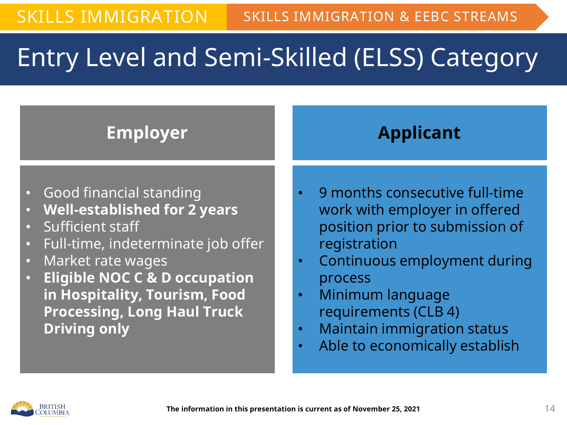### **Entry Level and Semi-Skilled (ELSS) Category**

#### **Employer**

#### **Applicant**

- Good financial standing
- **Well-established for 2 years**
- Sufficient staff
- Full-time, indeterminate job offer
- Market rate wages
- **Eligible NOC C & D occupation in Hospitality, Tourism, Food Processing, Long Haul Truck Driving only**
- 9 months consecutive full-time work with employer in offered position prior to submission of registration
- Continuous employment during process
- Minimum language requirements (CLB 4)
- Maintain immigration status
- Able to economically establish

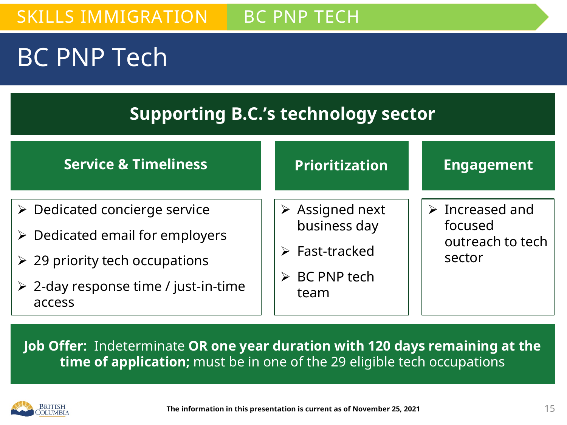#### SKILLS IMMIGRATION BC PNP TECH

### BC PNP Tech

#### **Supporting B.C.'s technology sector**

| <b>Service &amp; Timeliness</b>                                                                                                                                                                        | <b>Prioritization</b>                                                                                                   | <b>Engagement</b>                                                       |
|--------------------------------------------------------------------------------------------------------------------------------------------------------------------------------------------------------|-------------------------------------------------------------------------------------------------------------------------|-------------------------------------------------------------------------|
| $\triangleright$ Dedicated concierge service<br>$\triangleright$ Dedicated email for employers<br>$\geq$ 29 priority tech occupations<br>$\triangleright$ 2-day response time / just-in-time<br>access | $\triangleright$ Assigned next<br>business day<br>$\triangleright$ Fast-tracked<br>$\triangleright$ BC PNP tech<br>team | $\triangleright$ Increased and<br>focused<br>outreach to tech<br>sector |

**Job Offer:** Indeterminate **OR one year duration with 120 days remaining at the time of application;** must be in one of the 29 eligible tech occupations

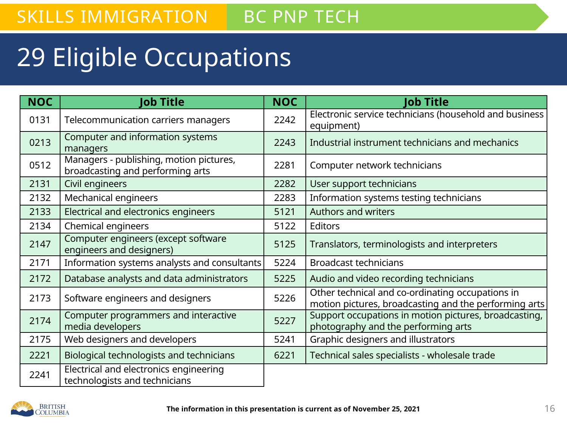#### SKILLS IMMIGRATION BC PNP TECH

### 29 Eligible Occupations

| <b>NOC</b> | <b>lob Title</b>                                                            | <b>NOC</b> | <b>Job Title</b>                                                                                          |
|------------|-----------------------------------------------------------------------------|------------|-----------------------------------------------------------------------------------------------------------|
| 0131       | Telecommunication carriers managers                                         | 2242       | Electronic service technicians (household and business<br>equipment)                                      |
| 0213       | Computer and information systems<br>managers                                | 2243       | Industrial instrument technicians and mechanics                                                           |
| 0512       | Managers - publishing, motion pictures,<br>broadcasting and performing arts | 2281       | Computer network technicians                                                                              |
| 2131       | Civil engineers                                                             | 2282       | User support technicians                                                                                  |
| 2132       | Mechanical engineers                                                        | 2283       | Information systems testing technicians                                                                   |
| 2133       | Electrical and electronics engineers                                        | 5121       | <b>Authors and writers</b>                                                                                |
| 2134       | Chemical engineers                                                          | 5122       | <b>Editors</b>                                                                                            |
| 2147       | Computer engineers (except software<br>engineers and designers)             | 5125       | Translators, terminologists and interpreters                                                              |
| 2171       | Information systems analysts and consultants                                | 5224       | <b>Broadcast technicians</b>                                                                              |
| 2172       | Database analysts and data administrators                                   | 5225       | Audio and video recording technicians                                                                     |
| 2173       | Software engineers and designers                                            | 5226       | Other technical and co-ordinating occupations in<br>motion pictures, broadcasting and the performing arts |
| 2174       | Computer programmers and interactive<br>media developers                    | 5227       | Support occupations in motion pictures, broadcasting,<br>photography and the performing arts              |
| 2175       | Web designers and developers                                                | 5241       | Graphic designers and illustrators                                                                        |
| 2221       | Biological technologists and technicians                                    | 6221       | Technical sales specialists - wholesale trade                                                             |
| 2241       | Electrical and electronics engineering<br>technologists and technicians     |            |                                                                                                           |

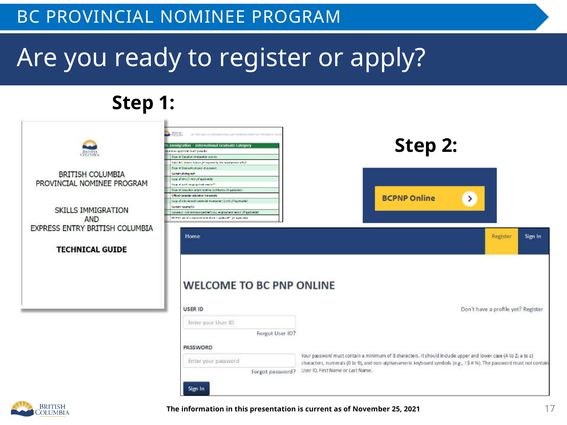### Are you ready to register or apply?

#### **Step 1:**

| <b>BETTEN</b>                                                                      | <b>CONTRACTOR</b><br>BC FAP ARTLA IMMORATION AND PUMPAS PATRY BC TRONGOLI (03)<br>Is Immigration - International Graduate Category<br>teminov apolicant reart provides<br>Case of Constitut Immigration records<br>Valid R.C. driven however (Competent by the except ground affect).                                                                                                                                                                                          | Step 2:                                                                                                                                                                                                                                                                   |
|------------------------------------------------------------------------------------|--------------------------------------------------------------------------------------------------------------------------------------------------------------------------------------------------------------------------------------------------------------------------------------------------------------------------------------------------------------------------------------------------------------------------------------------------------------------------------|---------------------------------------------------------------------------------------------------------------------------------------------------------------------------------------------------------------------------------------------------------------------------|
| <b>BRITISH COLUMBIA</b><br>PROVINCIAL NOMINEE PROGRAM<br>SKILLS IMMIGRATION<br>AND | Cape of Hogwardsol pace of possport<br>Current photograph.<br>tapy of the Hunter (Vacalcular)<br>Capp of which imaging steal conditions<br>Cape of odecrifica and/or bolding contributors (if applicable)<br>Chicle/Canadian education transcripts<br>tapy of infactorized to edential Assessment (LCA) (MappAcable)<br>Camart resume/CV<br>Spoace or Common-Law partner's LLC, amplitude and of applicable)<br>RC PAS use of a representative from staggin and 1 (Cappin Add) | <b>BCPNP Online</b><br>≻                                                                                                                                                                                                                                                  |
| EXPRESS ENTRY BRITISH COLUMBIA<br><b>TECHNICAL GUIDE</b>                           | Home<br><b>WELCOME TO BC PNP ONLINE</b>                                                                                                                                                                                                                                                                                                                                                                                                                                        | Sign In<br>Register                                                                                                                                                                                                                                                       |
|                                                                                    | <b>USER ID</b><br>Enter your User ID<br>Forgot User ID?<br>PASSWORD                                                                                                                                                                                                                                                                                                                                                                                                            | Don't have a profile yet? Register                                                                                                                                                                                                                                        |
|                                                                                    | Enter your password<br>Forgot password?<br>$m = 1$                                                                                                                                                                                                                                                                                                                                                                                                                             | Your password must contain a minimum of 8 characters. It should include upper and lower case (A to Z; a to z)<br>characters, numerals (0 to 9), and non-alphanumeric keyboard symbols (e.g., 1\$ # %). The password must not contain<br>User ID, First Name or Last Name. |

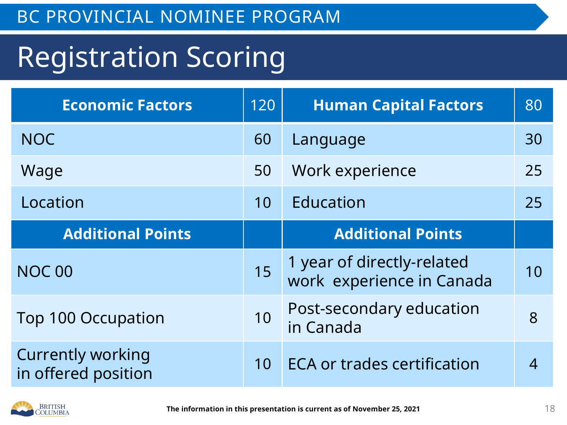## Registration Scoring

| <b>Economic Factors</b>                         | 120 | <b>Human Capital Factors</b>                            | 80             |
|-------------------------------------------------|-----|---------------------------------------------------------|----------------|
| <b>NOC</b>                                      | 60  | Language                                                | 30             |
| Wage                                            | 50  | Work experience                                         | 25             |
| Location                                        | 10  | Education                                               | 25             |
| <b>Additional Points</b>                        |     | <b>Additional Points</b>                                |                |
| <b>NOC 00</b>                                   | 15  | 1 year of directly-related<br>work experience in Canada | 10             |
| <b>Top 100 Occupation</b>                       | 10  | Post-secondary education<br>in Canada                   | 8              |
| <b>Currently working</b><br>in offered position | 10  | <b>ECA or trades certification</b>                      | $\overline{4}$ |

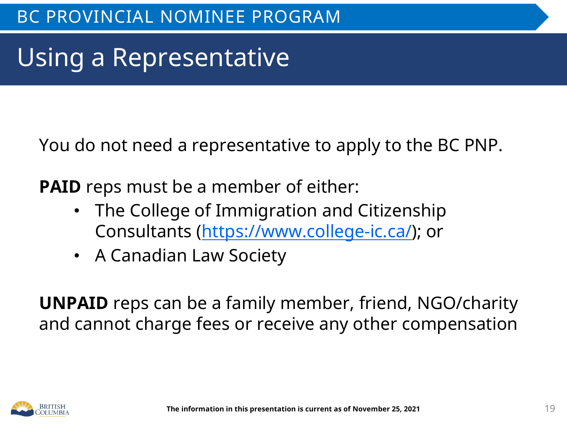### Using a Representative

You do not need a representative to apply to the BC PNP.

**PAID** reps must be a member of either:

- The College of Immigration and Citizenship Consultants [\(https://www.college-ic.ca/](https://www.college-ic.ca/)); or
- A Canadian Law Society

**UNPAID** reps can be a family member, friend, NGO/charity and cannot charge fees or receive any other compensation

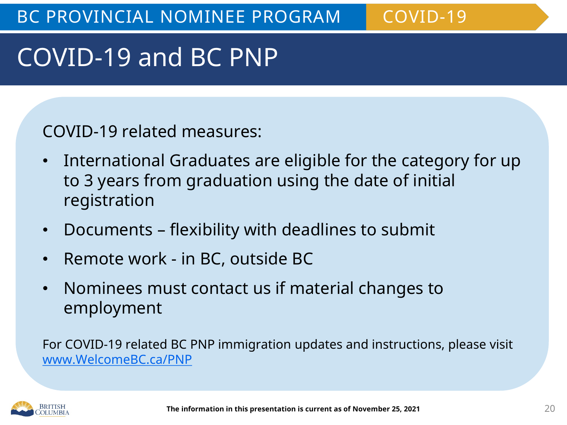### COVID-19 and BC PNP

COVID-19 related measures:

- International Graduates are eligible for the category for up to 3 years from graduation using the date of initial registration
- Documents flexibility with deadlines to submit
- Remote work in BC, outside BC
- Nominees must contact us if material changes to employment

For COVID-19 related BC PNP immigration updates and instructions, please visit [www.WelcomeBC.ca/PNP](http://www.welcomebc.ca/PNP)

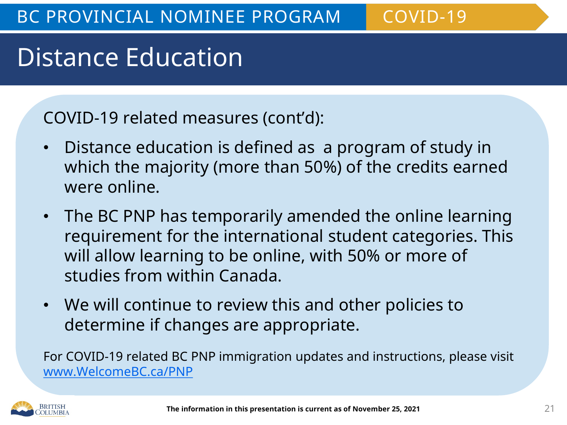### Distance Education

COVID-19 related measures (cont'd):

- Distance education is defined as a program of study in which the majority (more than 50%) of the credits earned were online.
- The BC PNP has temporarily amended the online learning requirement for the international student categories. This will allow learning to be online, with 50% or more of studies from within Canada.
- We will continue to review this and other policies to determine if changes are appropriate.

For COVID-19 related BC PNP immigration updates and instructions, please visit [www.WelcomeBC.ca/PNP](http://www.welcomebc.ca/PNP)

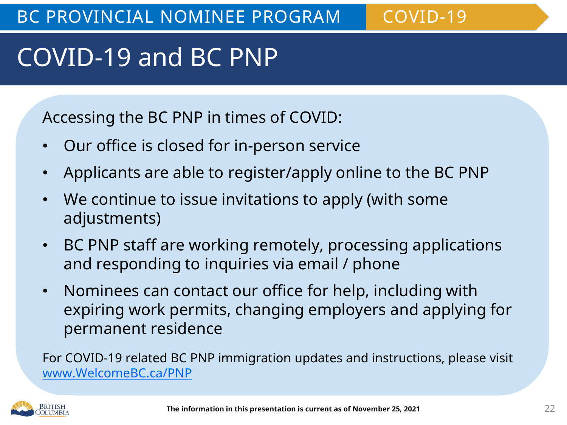### COVID-19 and BC PNP

Accessing the BC PNP in times of COVID:

- Our office is closed for in-person service
- Applicants are able to register/apply online to the BC PNP
- We continue to issue invitations to apply (with some adjustments)
- BC PNP staff are working remotely, processing applications and responding to inquiries via email / phone
- Nominees can contact our office for help, including with expiring work permits, changing employers and applying for permanent residence

For COVID-19 related BC PNP immigration updates and instructions, please visit [www.WelcomeBC.ca/PNP](http://www.welcomebc.ca/PNP)

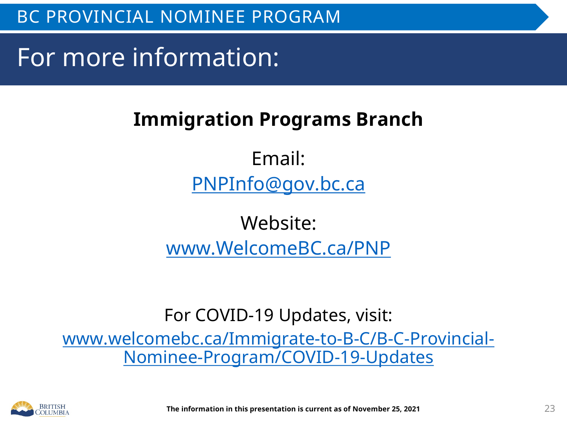For more information:

#### **Immigration Programs Branch**

Email: [PNPInfo@gov.bc.ca](mailto:PNPInfo@gov.bc.ca)

Website: [www.WelcomeBC.ca/PNP](http://www.welcomebc.ca/PNP)

For COVID-19 Updates, visit:

[www.welcomebc.ca/Immigrate-to-B-C/B-C-Provincial-](http://www.welcomebc.ca/Immigrate-to-B-C/B-C-Provincial-Nominee-Program/COVID-19-Updates)Nominee-Program/COVID-19-Updates

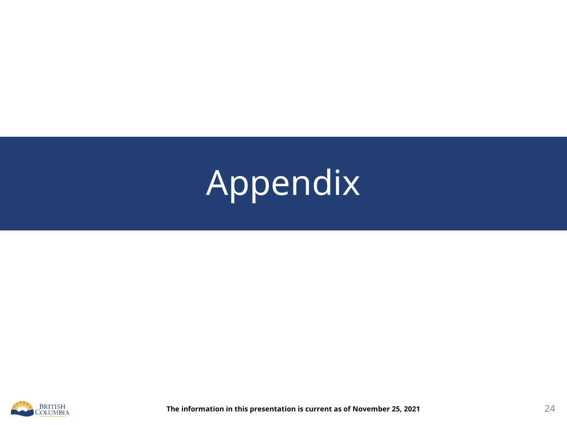# Appendix